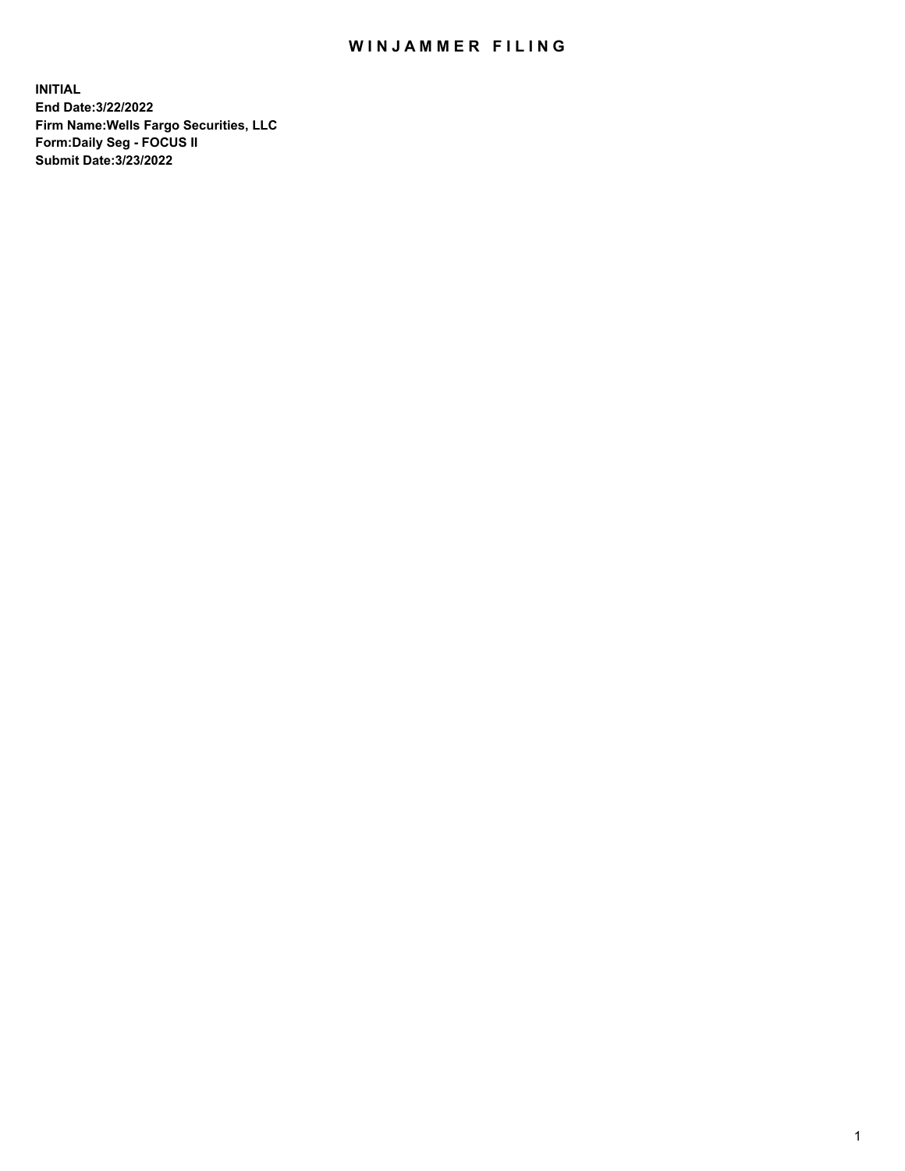## WIN JAMMER FILING

**INITIAL End Date:3/22/2022 Firm Name:Wells Fargo Securities, LLC Form:Daily Seg - FOCUS II Submit Date:3/23/2022**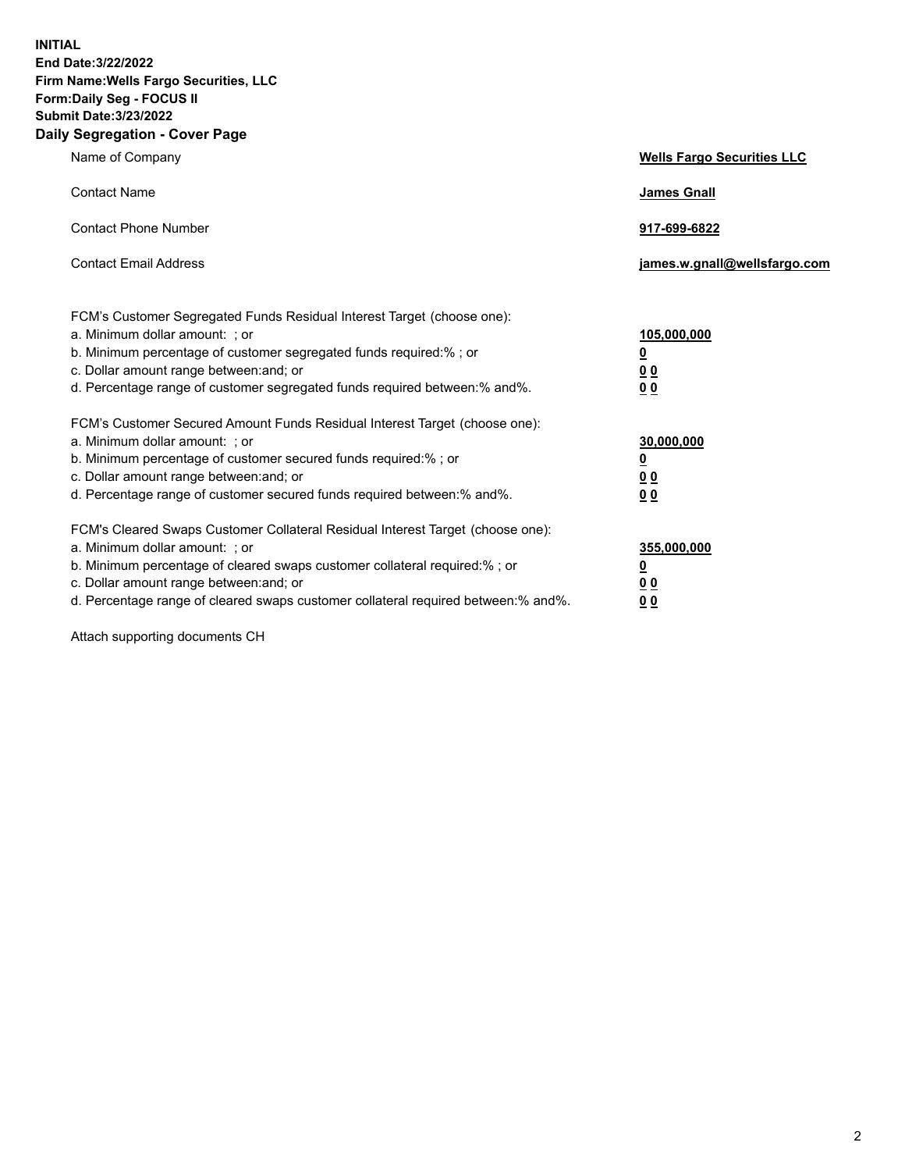**INITIAL End Date:3/22/2022 Firm Name:Wells Fargo Securities, LLC Form:Daily Seg - FOCUS II Submit Date:3/23/2022 Daily Segregation - Cover Page**

| Name of Company                                                                                                                                                                                                                                                                                                               | <b>Wells Fargo Securities LLC</b>                          |
|-------------------------------------------------------------------------------------------------------------------------------------------------------------------------------------------------------------------------------------------------------------------------------------------------------------------------------|------------------------------------------------------------|
| <b>Contact Name</b>                                                                                                                                                                                                                                                                                                           | <b>James Gnall</b>                                         |
| <b>Contact Phone Number</b>                                                                                                                                                                                                                                                                                                   | 917-699-6822                                               |
| <b>Contact Email Address</b>                                                                                                                                                                                                                                                                                                  | james.w.gnall@wellsfargo.com                               |
| FCM's Customer Segregated Funds Residual Interest Target (choose one):<br>a. Minimum dollar amount: ; or<br>b. Minimum percentage of customer segregated funds required:% ; or<br>c. Dollar amount range between: and; or<br>d. Percentage range of customer segregated funds required between:% and%.                        | 105,000,000<br><u>0</u><br>0 <sub>0</sub><br>00            |
| FCM's Customer Secured Amount Funds Residual Interest Target (choose one):<br>a. Minimum dollar amount: ; or<br>b. Minimum percentage of customer secured funds required:%; or<br>c. Dollar amount range between: and; or<br>d. Percentage range of customer secured funds required between: % and %.                         | 30,000,000<br><u>0</u><br>0 <sub>0</sub><br>0 <sub>0</sub> |
| FCM's Cleared Swaps Customer Collateral Residual Interest Target (choose one):<br>a. Minimum dollar amount: ; or<br>b. Minimum percentage of cleared swaps customer collateral required:%; or<br>c. Dollar amount range between: and; or<br>d. Percentage range of cleared swaps customer collateral required between:% and%. | 355,000,000<br><u>0</u><br>00<br>00                        |

Attach supporting documents CH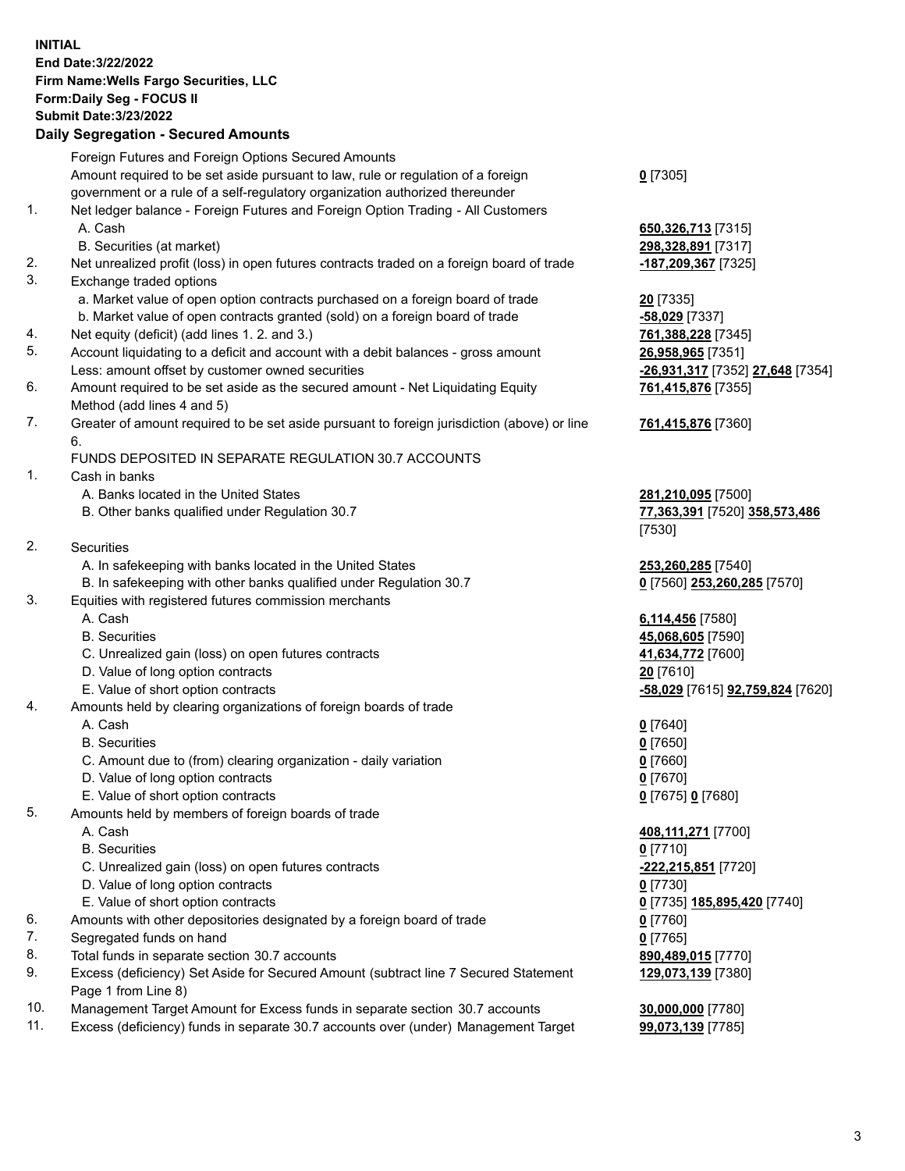**INITIAL End Date:3/22/2022 Firm Name:Wells Fargo Securities, LLC Form:Daily Seg - FOCUS II Submit Date:3/23/2022 Daily Segregation - Secured Amounts** Foreign Futures and Foreign Options Secured Amounts

> Amount required to be set aside pursuant to law, rule or regulation of a foreign government or a rule of a self-regulatory organization authorized thereunder

- 1. Net ledger balance Foreign Futures and Foreign Option Trading All Customers A. Cash **650,326,713** [7315]
	- B. Securities (at market) **298,328,891** [7317]
- 2. Net unrealized profit (loss) in open futures contracts traded on a foreign board of trade **-187,209,367** [7325]
- 3. Exchange traded options
	- a. Market value of open option contracts purchased on a foreign board of trade **20** [7335]
	- b. Market value of open contracts granted (sold) on a foreign board of trade **-58,029** [7337]
- 4. Net equity (deficit) (add lines 1. 2. and 3.) **761,388,228** [7345]
- 5. Account liquidating to a deficit and account with a debit balances gross amount **26,958,965** [7351] Less: amount offset by customer owned securities **-26,931,317** [7352] **27,648** [7354]
- 6. Amount required to be set aside as the secured amount Net Liquidating Equity Method (add lines 4 and 5)
- 7. Greater of amount required to be set aside pursuant to foreign jurisdiction (above) or line 6.

## FUNDS DEPOSITED IN SEPARATE REGULATION 30.7 ACCOUNTS

- 1. Cash in banks
	- A. Banks located in the United States **281,210,095** [7500]
	- B. Other banks qualified under Regulation 30.7 **77,363,391** [7520] **358,573,486**
- 2. Securities
	- A. In safekeeping with banks located in the United States **253,260,285** [7540]
- B. In safekeeping with other banks qualified under Regulation 30.7 **0** [7560] **253,260,285** [7570]
- 3. Equities with registered futures commission merchants
	-
	-
	- C. Unrealized gain (loss) on open futures contracts **41,634,772** [7600]
	- D. Value of long option contracts **20** [7610]
	-
- 4. Amounts held by clearing organizations of foreign boards of trade
	- A. Cash **0** [7640]
	- B. Securities **0** [7650]
	- C. Amount due to (from) clearing organization daily variation **0** [7660]
	- D. Value of long option contracts **0** [7670]
	- E. Value of short option contracts **0** [7675] **0** [7680]
- 5. Amounts held by members of foreign boards of trade
	-
	- B. Securities **0** [7710]
	- C. Unrealized gain (loss) on open futures contracts **-222,215,851** [7720]
	- D. Value of long option contracts **0** [7730]
	- E. Value of short option contracts **0** [7735] **185,895,420** [7740]
- 6. Amounts with other depositories designated by a foreign board of trade **0** [7760]
- 7. Segregated funds on hand **0** [7765]
- 8. Total funds in separate section 30.7 accounts **890,489,015** [7770]
- 9. Excess (deficiency) Set Aside for Secured Amount (subtract line 7 Secured Statement Page 1 from Line 8)
- 10. Management Target Amount for Excess funds in separate section 30.7 accounts **30,000,000** [7780]
- 11. Excess (deficiency) funds in separate 30.7 accounts over (under) Management Target **99,073,139** [7785]

**0** [7305]

**761,415,876** [7355]

## **761,415,876** [7360]

[7530]

 A. Cash **6,114,456** [7580] B. Securities **45,068,605** [7590] E. Value of short option contracts **-58,029** [7615] **92,759,824** [7620]

 A. Cash **408,111,271** [7700] **129,073,139** [7380]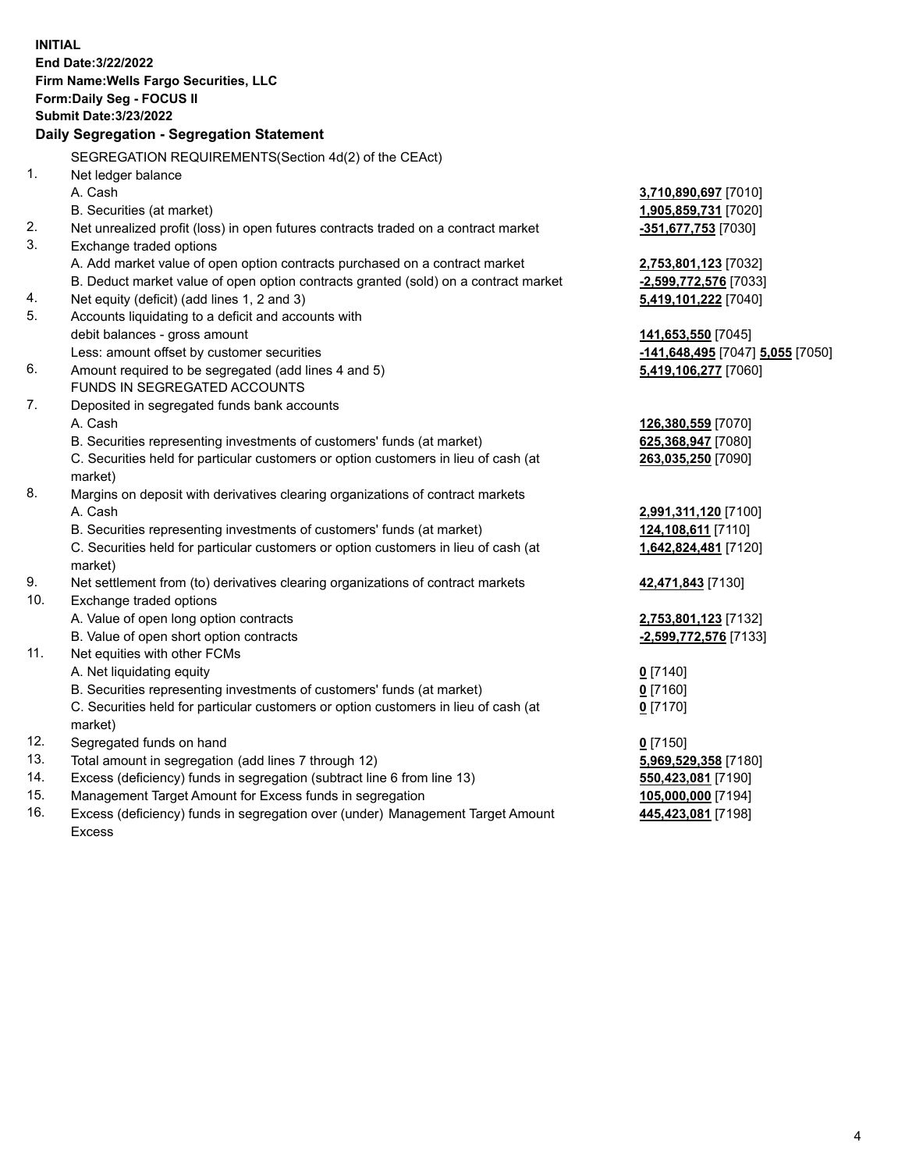**INITIAL End Date:3/22/2022 Firm Name:Wells Fargo Securities, LLC Form:Daily Seg - FOCUS II Submit Date:3/23/2022 Daily Segregation - Segregation Statement** SEGREGATION REQUIREMENTS(Section 4d(2) of the CEAct) 1. Net ledger balance A. Cash **3,710,890,697** [7010] B. Securities (at market) **1,905,859,731** [7020] 2. Net unrealized profit (loss) in open futures contracts traded on a contract market **-351,677,753** [7030] 3. Exchange traded options A. Add market value of open option contracts purchased on a contract market **2,753,801,123** [7032] B. Deduct market value of open option contracts granted (sold) on a contract market **-2,599,772,576** [7033] 4. Net equity (deficit) (add lines 1, 2 and 3) **5,419,101,222** [7040] 5. Accounts liquidating to a deficit and accounts with debit balances - gross amount **141,653,550** [7045] Less: amount offset by customer securities **-141,648,495** [7047] **5,055** [7050] 6. Amount required to be segregated (add lines 4 and 5) **5,419,106,277** [7060] FUNDS IN SEGREGATED ACCOUNTS 7. Deposited in segregated funds bank accounts A. Cash **126,380,559** [7070] B. Securities representing investments of customers' funds (at market) **625,368,947** [7080] C. Securities held for particular customers or option customers in lieu of cash (at market) **263,035,250** [7090] 8. Margins on deposit with derivatives clearing organizations of contract markets A. Cash **2,991,311,120** [7100] B. Securities representing investments of customers' funds (at market) **124,108,611** [7110] C. Securities held for particular customers or option customers in lieu of cash (at market) **1,642,824,481** [7120] 9. Net settlement from (to) derivatives clearing organizations of contract markets **42,471,843** [7130] 10. Exchange traded options A. Value of open long option contracts **2,753,801,123** [7132] B. Value of open short option contracts **-2,599,772,576** [7133] 11. Net equities with other FCMs A. Net liquidating equity **0** [7140] B. Securities representing investments of customers' funds (at market) **0** [7160] C. Securities held for particular customers or option customers in lieu of cash (at market) **0** [7170] 12. Segregated funds on hand **0** [7150] 13. Total amount in segregation (add lines 7 through 12) **5,969,529,358** [7180] 14. Excess (deficiency) funds in segregation (subtract line 6 from line 13) **550,423,081** [7190] 15. Management Target Amount for Excess funds in segregation **105,000,000** [7194] 16. Excess (deficiency) funds in segregation over (under) Management Target Amount **445,423,081** [7198]

Excess